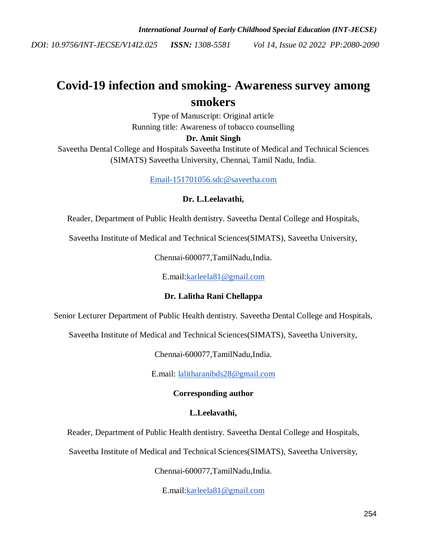# **Covid-19 infection and smoking- Awareness survey among smokers**

Type of Manuscript: Original article Running title: Awareness of tobacco counselling

# **Dr. Amit Singh**

Saveetha Dental College and Hospitals Saveetha Institute of Medical and Technical Sciences (SIMATS) Saveetha University, Chennai, Tamil Nadu, India.

[Email-151701056.sdc@saveetha.com](mailto:Email-151701056.sdc@saveetha.com)

## **Dr. L.Leelavathi,**

Reader, Department of Public Health dentistry. Saveetha Dental College and Hospitals,

Saveetha Institute of Medical and Technical Sciences(SIMATS), Saveetha University,

Chennai-600077,TamilNadu,India.

E.mail[:karleela81@gmail.com](mailto:karleela81@gmail.com)

## **Dr. Lalitha Rani Chellappa**

Senior Lecturer Department of Public Health dentistry. Saveetha Dental College and Hospitals,

Saveetha Institute of Medical and Technical Sciences(SIMATS), Saveetha University,

Chennai-600077,TamilNadu,India.

E.mail: [lalitharanibds28@gmail.com](mailto:lalitharanibds28@gmail.com)

## **Corresponding author**

## **L.Leelavathi,**

Reader, Department of Public Health dentistry. Saveetha Dental College and Hospitals,

Saveetha Institute of Medical and Technical Sciences(SIMATS), Saveetha University,

Chennai-600077,TamilNadu,India.

E.mail[:karleela81@gmail.com](mailto:karleela81@gmail.com)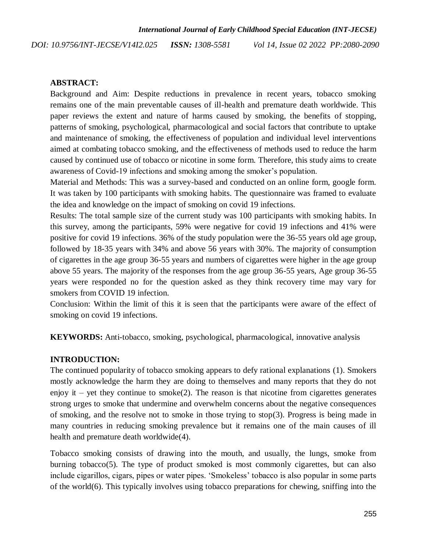#### **ABSTRACT:**

Background and Aim: Despite reductions in prevalence in recent years, tobacco smoking remains one of the main preventable causes of ill-health and premature death worldwide. This paper reviews the extent and nature of harms caused by smoking, the benefits of stopping, patterns of smoking, psychological, pharmacological and social factors that contribute to uptake and maintenance of smoking, the effectiveness of population and individual level interventions aimed at combating tobacco smoking, and the effectiveness of methods used to reduce the harm caused by continued use of tobacco or nicotine in some form. Therefore, this study aims to create awareness of Covid-19 infections and smoking among the smoker's population.

Material and Methods: This was a survey-based and conducted on an online form, google form. It was taken by 100 participants with smoking habits. The questionnaire was framed to evaluate the idea and knowledge on the impact of smoking on covid 19 infections.

Results: The total sample size of the current study was 100 participants with smoking habits. In this survey, among the participants, 59% were negative for covid 19 infections and 41% were positive for covid 19 infections. 36% of the study population were the 36-55 years old age group, followed by 18-35 years with 34% and above 56 years with 30%. The majority of consumption of cigarettes in the age group 36-55 years and numbers of cigarettes were higher in the age group above 55 years. The majority of the responses from the age group 36-55 years, Age group 36-55 years were responded no for the question asked as they think recovery time may vary for smokers from COVID 19 infection.

Conclusion: Within the limit of this it is seen that the participants were aware of the effect of smoking on covid 19 infections.

**KEYWORDS:** Anti-tobacco, smoking, psychological, pharmacological, innovative analysis

#### **INTRODUCTION:**

The continued popularity of tobacco smoking appears to defy rational explanations [\(1\).](https://paperpile.com/c/5x2b9I/SEXL) Smokers mostly acknowledge the harm they are doing to themselves and many reports that they do not enjoy it – yet they continue to smoke $(2)$ . The reason is that nicotine from cigarettes generates strong urges to smoke that undermine and overwhelm concerns about the negative consequences of smoking, and the resolve not to smoke in those trying to sto[p\(3\).](https://paperpile.com/c/5x2b9I/KZeM) Progress is being made in many countries in reducing smoking prevalence but it remains one of the main causes of ill health and premature death worldwid[e\(4\).](https://paperpile.com/c/5x2b9I/Ieks)

Tobacco smoking consists of drawing into the mouth, and usually, the lungs, smoke from burning tobacc[o\(5\).](https://paperpile.com/c/5x2b9I/nHqz) The type of product smoked is most commonly cigarettes, but can also include cigarillos, cigars, pipes or water pipes. ‗Smokeless' tobacco is also popular in some parts of the worl[d\(6\).](https://paperpile.com/c/5x2b9I/4fWY) This typically involves using tobacco preparations for chewing, sniffing into the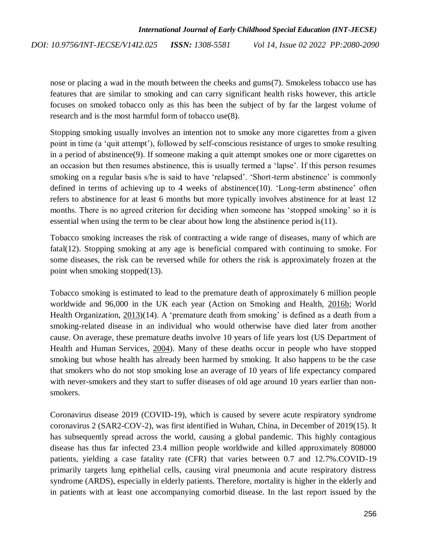nose or placing a wad in the mouth between the cheeks and gum[s\(7\).](https://paperpile.com/c/5x2b9I/V4Op) Smokeless tobacco use has features that are similar to smoking and can carry significant health risks however, this article focuses on smoked tobacco only as this has been the subject of by far the largest volume of research and is the most harmful form of tobacco us[e\(8\).](https://paperpile.com/c/5x2b9I/D4AQ)

Stopping smoking usually involves an intention not to smoke any more cigarettes from a given point in time (a ‗quit attempt'), followed by self-conscious resistance of urges to smoke resulting in a period of abstinenc[e\(9\).](https://paperpile.com/c/5x2b9I/S5PS) If someone making a quit attempt smokes one or more cigarettes on an occasion but then resumes abstinence, this is usually termed a 'lapse'. If this person resumes smoking on a regular basis s/he is said to have 'relapsed'. 'Short-term abstinence' is commonly defined in terms of achieving up to 4 weeks of abstinenc[e\(10\).](https://paperpile.com/c/5x2b9I/E82g) 'Long-term abstinence' often refers to abstinence for at least 6 months but more typically involves abstinence for at least 12 months. There is no agreed criterion for deciding when someone has 'stopped smoking' so it is essential when using the term to be clear about how long the abstinence period i[s\(11\).](https://paperpile.com/c/5x2b9I/JYsl)

Tobacco smoking increases the risk of contracting a wide range of diseases, many of which are fata[l\(12\).](https://paperpile.com/c/5x2b9I/pVFL) Stopping smoking at any age is beneficial compared with continuing to smoke. For some diseases, the risk can be reversed while for others the risk is approximately frozen at the point when smoking stoppe[d\(13\).](https://paperpile.com/c/5x2b9I/JYFk)

Tobacco smoking is estimated to lead to the premature death of approximately 6 million people worldwide and 96,000 in the UK each year (Action on Smoking and Health, [2016b;](https://www.ncbi.nlm.nih.gov/pmc/articles/PMC5490618/#CIT0008) World Health Organization,  $2013$ [\)\(14\).](https://paperpile.com/c/5x2b9I/Y1dA) A 'premature death from smoking' is defined as a death from a smoking-related disease in an individual who would otherwise have died later from another cause. On average, these premature deaths involve 10 years of life years lost (US Department of Health and Human Services, [2004\)](https://www.ncbi.nlm.nih.gov/pmc/articles/PMC5490618/#CIT0071). Many of these deaths occur in people who have stopped smoking but whose health has already been harmed by smoking. It also happens to be the case that smokers who do not stop smoking lose an average of 10 years of life expectancy compared with never-smokers and they start to suffer diseases of old age around 10 years earlier than nonsmokers.

Coronavirus disease 2019 (COVID-19), which is caused by severe acute respiratory syndrome coronavirus 2 (SAR2-COV-2), was first identified in Wuhan, China, in December of 201[9\(15\).](https://paperpile.com/c/5x2b9I/Lh7U) It has subsequently spread across the world, causing a global pandemic. This highly contagious disease has thus far infected 23.4 million people worldwide and killed approximately 808000 patients, yielding a case fatality rate (CFR) that varies between 0.7 and 12.7%.COVID-19 primarily targets lung epithelial cells, causing viral pneumonia and acute respiratory distress syndrome (ARDS), especially in elderly patients. Therefore, mortality is higher in the elderly and in patients with at least one accompanying comorbid disease. In the last report issued by the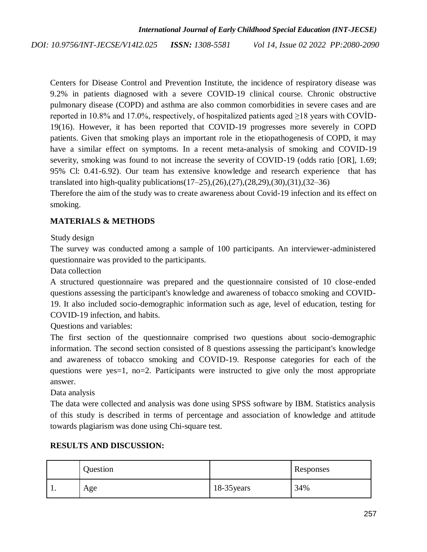Centers for Disease Control and Prevention Institute, the incidence of respiratory disease was 9.2% in patients diagnosed with a severe COVID-19 clinical course. Chronic obstructive pulmonary disease (COPD) and asthma are also common comorbidities in severe cases and are reported in 10.8% and 17.0%, respectively, of hospitalized patients aged ≥18 years with COVİD-1[9\(16\).](https://paperpile.com/c/5x2b9I/IdYD) However, it has been reported that COVID-19 progresses more severely in COPD patients. Given that smoking plays an important role in the etiopathogenesis of COPD, it may have a similar effect on symptoms. In a recent meta-analysis of smoking and COVID-19 severity, smoking was found to not increase the severity of COVID-19 (odds ratio [OR], 1.69; 95% Cl: 0.41-6.92). Our team has extensive knowledge and research experience that has translated into high-quality publication[s\(17–25\)](https://paperpile.com/c/5x2b9I/vCPA1+tRlIW+eYxjR+TUXSs+EDKa7+5kLCp+qvZlR+yIgbq+9jUHd)[,\(26\)](https://paperpile.com/c/5x2b9I/Et0JF)[,\(27\)](https://paperpile.com/c/5x2b9I/iKpC5)[,\(28,29\)](https://paperpile.com/c/5x2b9I/4u1K7+fK2bt)[,\(30\)](https://paperpile.com/c/5x2b9I/R6xKW)[,\(31\)](https://paperpile.com/c/5x2b9I/U5QdN)[,\(32–36\)](https://paperpile.com/c/5x2b9I/Xi7JJ+WfgXt+OIDQo+gDKWT+pURfP)

Therefore the aim of the study was to create awareness about Covid-19 infection and its effect on smoking.

# **MATERIALS & METHODS**

Study design

The survey was conducted among a sample of 100 participants. An interviewer-administered questionnaire was provided to the participants.

Data collection

A structured questionnaire was prepared and the questionnaire consisted of 10 close-ended questions assessing the participant's knowledge and awareness of tobacco smoking and COVID-19. It also included socio-demographic information such as age, level of education, testing for COVID-19 infection, and habits.

Questions and variables:

The first section of the questionnaire comprised two questions about socio-demographic information. The second section consisted of 8 questions assessing the participant's knowledge and awareness of tobacco smoking and COVID-19. Response categories for each of the questions were yes=1, no=2. Participants were instructed to give only the most appropriate answer.

Data analysis

The data were collected and analysis was done using SPSS software by IBM. Statistics analysis of this study is described in terms of percentage and association of knowledge and attitude towards plagiarism was done using Chi-square test.

|     | Question |             | Responses |
|-----|----------|-------------|-----------|
| . . | Age      | 18-35 years | 34%       |

# **RESULTS AND DISCUSSION:**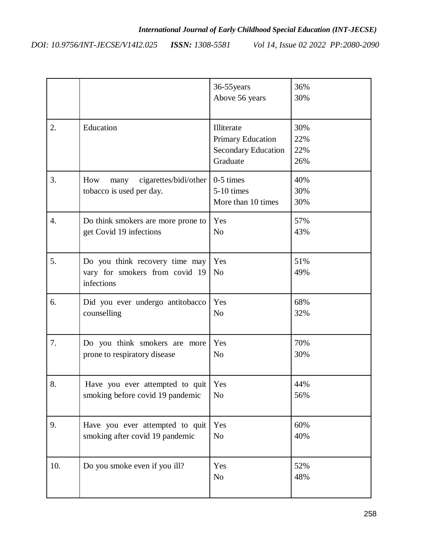*DOI: 10.9756/INT-JECSE/V14I2.025 ISSN: 1308-5581*

*Vol 14, Issue 02 2022 PP:2080-2090*

|                  |                                                                                | 36-55 years<br>Above 56 years                                                    | 36%<br>30%               |
|------------------|--------------------------------------------------------------------------------|----------------------------------------------------------------------------------|--------------------------|
| 2.               | Education                                                                      | Illiterate<br><b>Primary Education</b><br><b>Secondary Education</b><br>Graduate | 30%<br>22%<br>22%<br>26% |
| 3.               | How<br>cigarettes/bidi/other<br>many<br>tobacco is used per day.               | $0-5$ times<br>5-10 times<br>More than 10 times                                  | 40%<br>30%<br>30%        |
| $\overline{4}$ . | Do think smokers are more prone to                                             | Yes                                                                              | 57%                      |
|                  | get Covid 19 infections                                                        | N <sub>o</sub>                                                                   | 43%                      |
| 5.               | Do you think recovery time may<br>vary for smokers from covid 19<br>infections | Yes<br>N <sub>o</sub>                                                            | 51%<br>49%               |
| 6.               | Did you ever undergo antitobacco                                               | Yes                                                                              | 68%                      |
|                  | counselling                                                                    | N <sub>o</sub>                                                                   | 32%                      |
| 7.               | Do you think smokers are more                                                  | Yes                                                                              | 70%                      |
|                  | prone to respiratory disease                                                   | N <sub>o</sub>                                                                   | 30%                      |
| 8.               | Have you ever attempted to quit                                                | Yes                                                                              | 44%                      |
|                  | smoking before covid 19 pandemic                                               | N <sub>o</sub>                                                                   | 56%                      |
| 9.               | Have you ever attempted to quit                                                | Yes                                                                              | 60%                      |
|                  | smoking after covid 19 pandemic                                                | N <sub>o</sub>                                                                   | 40%                      |
| 10.              | Do you smoke even if you ill?                                                  | Yes<br>N <sub>o</sub>                                                            | 52%<br>48%               |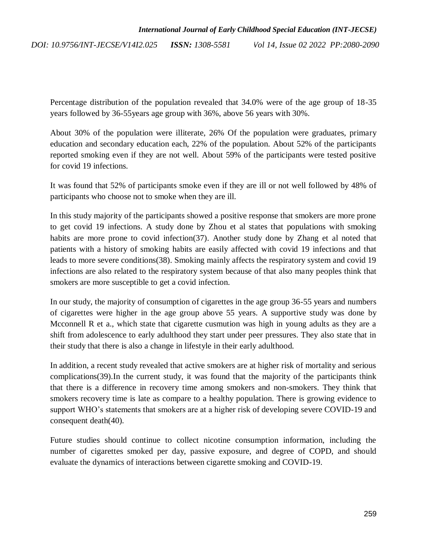Percentage distribution of the population revealed that 34.0% were of the age group of 18-35 years followed by 36-55years age group with 36%, above 56 years with 30%.

About 30% of the population were illiterate, 26% Of the population were graduates, primary education and secondary education each, 22% of the population. About 52% of the participants reported smoking even if they are not well. About 59% of the participants were tested positive for covid 19 infections.

It was found that 52% of participants smoke even if they are ill or not well followed by 48% of participants who choose not to smoke when they are ill.

In this study majority of the participants showed a positive response that smokers are more prone to get covid 19 infections. A study done by Zhou et al states that populations with smoking habits are more prone to covid infectio[n\(37\).](https://paperpile.com/c/5x2b9I/cwql) Another study done by Zhang et al noted that patients with a history of smoking habits are easily affected with covid 19 infections and that leads to more severe condition[s\(38\).](https://paperpile.com/c/5x2b9I/JFtC) Smoking mainly affects the respiratory system and covid 19 infections are also related to the respiratory system because of that also many peoples think that smokers are more susceptible to get a covid infection.

In our study, the majority of consumption of cigarettes in the age group 36-55 years and numbers of cigarettes were higher in the age group above 55 years. A supportive study was done by Mcconnell R et a., which state that cigarette cusmution was high in young adults as they are a shift from adolescence to early adulthood they start under peer pressures. They also state that in their study that there is also a change in lifestyle in their early adulthood.

In addition, a recent study revealed that active smokers are at higher risk of mortality and serious complication[s\(39\).](https://paperpile.com/c/5x2b9I/LUHX)In the current study, it was found that the majority of the participants think that there is a difference in recovery time among smokers and non-smokers. They think that smokers recovery time is late as compare to a healthy population. There is growing evidence to support WHO's statements that smokers are at a higher risk of developing severe COVID-19 and consequent deat[h\(40\).](https://paperpile.com/c/5x2b9I/iqvU)

Future studies should continue to collect nicotine consumption information, including the number of cigarettes smoked per day, passive exposure, and degree of COPD, and should evaluate the dynamics of interactions between cigarette smoking and COVID-19.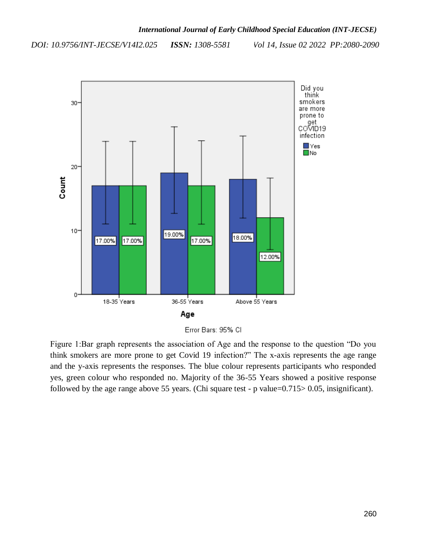*DOI: 10.9756/INT-JECSE/V14I2.025 ISSN: 1308-5581*

*Vol 14, Issue 02 2022 PP:2080-2090*



Error Bars: 95% CI

Figure 1:Bar graph represents the association of Age and the response to the question "Do you think smokers are more prone to get Covid 19 infection?" The x-axis represents the age range and the y-axis represents the responses. The blue colour represents participants who responded yes, green colour who responded no. Majority of the 36-55 Years showed a positive response followed by the age range above 55 years. (Chi square test - p value=0.715> 0.05, insignificant).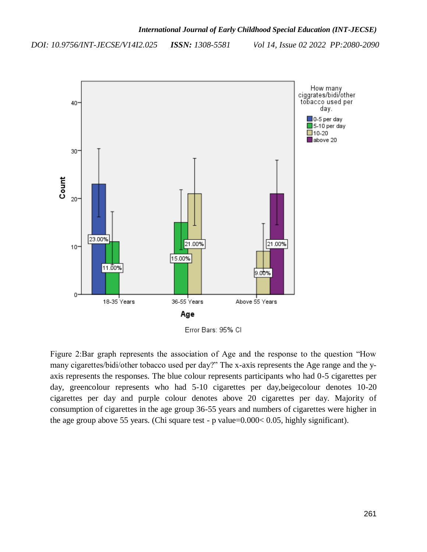

Figure 2:Bar graph represents the association of Age and the response to the question "How many cigarettes/bidi/other tobacco used per day?" The x-axis represents the Age range and the yaxis represents the responses. The blue colour represents participants who had 0-5 cigarettes per day, greencolour represents who had 5-10 cigarettes per day,beigecolour denotes 10-20 cigarettes per day and purple colour denotes above 20 cigarettes per day. Majority of consumption of cigarettes in the age group 36-55 years and numbers of cigarettes were higher in the age group above 55 years. (Chi square test - p value=0.000< 0.05, highly significant).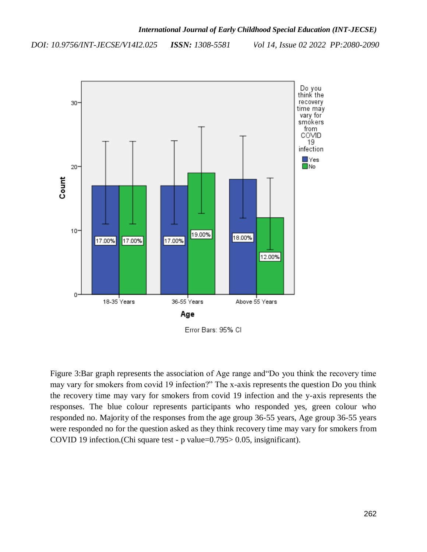*DOI: 10.9756/INT-JECSE/V14I2.025 ISSN: 1308-5581*

*Vol 14, Issue 02 2022 PP:2080-2090*



Figure 3:Bar graph represents the association of Age range and "Do you think the recovery time may vary for smokers from covid 19 infection?" The x-axis represents the question Do you think the recovery time may vary for smokers from covid 19 infection and the y-axis represents the responses. The blue colour represents participants who responded yes, green colour who responded no. Majority of the responses from the age group 36-55 years, Age group 36-55 years were responded no for the question asked as they think recovery time may vary for smokers from COVID 19 infection.(Chi square test - p value=0.795> 0.05, insignificant).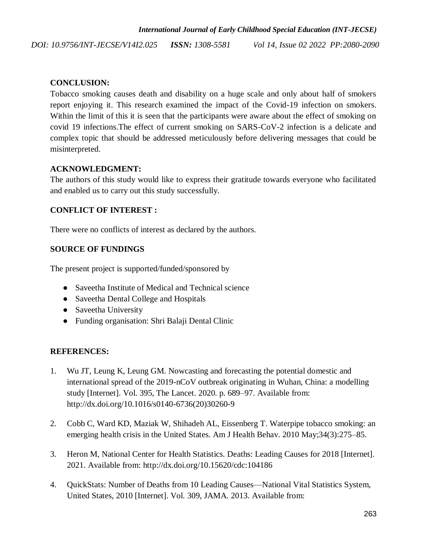# **CONCLUSION:**

Tobacco smoking causes death and disability on a huge scale and only about half of smokers report enjoying it. This research examined the impact of the Covid-19 infection on smokers. Within the limit of this it is seen that the participants were aware about the effect of smoking on covid 19 infections.The effect of current smoking on SARS-CoV-2 infection is a delicate and complex topic that should be addressed meticulously before delivering messages that could be misinterpreted.

# **ACKNOWLEDGMENT:**

The authors of this study would like to express their gratitude towards everyone who facilitated and enabled us to carry out this study successfully.

# **CONFLICT OF INTEREST :**

There were no conflicts of interest as declared by the authors.

# **SOURCE OF FUNDINGS**

The present project is supported/funded/sponsored by

- Saveetha Institute of Medical and Technical science
- Saveetha Dental College and Hospitals
- Saveetha University
- Funding organisation: Shri Balaji Dental Clinic

# **REFERENCES:**

- 1. [Wu JT, Leung K, Leung GM. Nowcasting and forecasting the potential domestic and](http://paperpile.com/b/5x2b9I/SEXL)  [international spread of the 2019-nCoV outbreak originating in Wuhan, China: a modelling](http://paperpile.com/b/5x2b9I/SEXL)  [study \[Internet\]. Vol. 395, The Lancet. 2020. p. 689–97. Available from:](http://paperpile.com/b/5x2b9I/SEXL)  [http://dx.doi.org/10.1016/s0140-6736\(20\)30260-9](http://paperpile.com/b/5x2b9I/SEXL)
- 2. [Cobb C, Ward KD, Maziak W, Shihadeh AL, Eissenberg T. Waterpipe tobacco smoking: an](http://paperpile.com/b/5x2b9I/Qjqi)  [emerging health crisis in the United States. Am J Health Behav. 2010 May;34\(3\):275–85.](http://paperpile.com/b/5x2b9I/Qjqi)
- 3. [Heron M, National Center for Health Statistics. Deaths: Leading Causes for 2018 \[Internet\].](http://paperpile.com/b/5x2b9I/KZeM)  [2021. Available from: http://dx.doi.org/10.15620/cdc:104186](http://paperpile.com/b/5x2b9I/KZeM)
- 4. [QuickStats: Number of Deaths from 10 Leading Causes—National Vital Statistics System,](http://paperpile.com/b/5x2b9I/Ieks)  United States, 2010 [Internet]. Vol. [309, JAMA. 2013. Available from:](http://paperpile.com/b/5x2b9I/Ieks)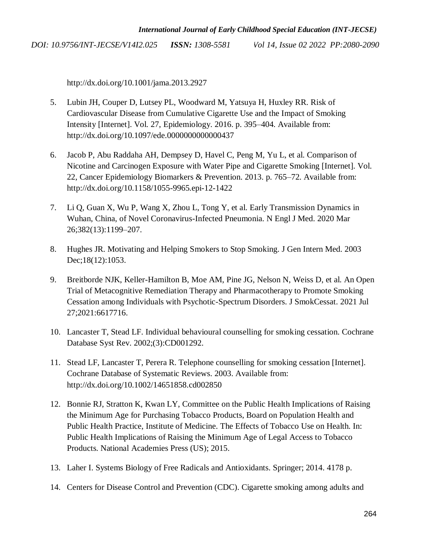<http://dx.doi.org/10.1001/jama.2013.2927>

- 5. [Lubin JH, Couper D, Lutsey PL, Woodward M, Yatsuya H, Huxley RR. Risk of](http://paperpile.com/b/5x2b9I/nHqz)  [Cardiovascular Disease from Cumulative Cigarette Use and the Impact of Smoking](http://paperpile.com/b/5x2b9I/nHqz)  [Intensity \[Internet\]. Vol. 27, Epidemiology. 2016. p. 395–404. Available from:](http://paperpile.com/b/5x2b9I/nHqz)  [http://dx.doi.org/10.1097/ede.0000000000000437](http://paperpile.com/b/5x2b9I/nHqz)
- 6. [Jacob P, Abu Raddaha AH, Dempsey D, Havel C, Peng M, Yu L, et al. Comparison of](http://paperpile.com/b/5x2b9I/4fWY)  [Nicotine and Carcinogen Exposure with Water Pipe and Cigarette Smoking \[Internet\]. Vol.](http://paperpile.com/b/5x2b9I/4fWY)  [22, Cancer Epidemiology Biomarkers & Prevention. 2013. p. 765–72. Available from:](http://paperpile.com/b/5x2b9I/4fWY)  [http://dx.doi.org/10.1158/1055-9965.epi-12-1422](http://paperpile.com/b/5x2b9I/4fWY)
- 7. [Li Q, Guan X, Wu P, Wang X, Zhou L, Tong Y, et al. Early Transmission Dynamics in](http://paperpile.com/b/5x2b9I/V4Op)  [Wuhan, China, of Novel Coronavirus-Infected Pneumonia. N Engl J Med. 2020 Mar](http://paperpile.com/b/5x2b9I/V4Op)  [26;382\(13\):1199–207.](http://paperpile.com/b/5x2b9I/V4Op)
- 8. [Hughes JR. Motivating and Helping Smokers to Stop Smoking. J Gen Intern Med. 2003](http://paperpile.com/b/5x2b9I/D4AQ)  [Dec;18\(12\):1053.](http://paperpile.com/b/5x2b9I/D4AQ)
- 9. [Breitborde NJK, Keller-Hamilton B, Moe AM, Pine JG, Nelson N, Weiss D, et al. An Open](http://paperpile.com/b/5x2b9I/S5PS)  [Trial of Metacognitive Remediation Therapy and Pharmacotherapy to Promote Smoking](http://paperpile.com/b/5x2b9I/S5PS)  [Cessation among Individuals with Psychotic-Spectrum Disorders. J SmokCessat. 2021 Jul](http://paperpile.com/b/5x2b9I/S5PS)  [27;2021:6617716.](http://paperpile.com/b/5x2b9I/S5PS)
- 10. [Lancaster T, Stead LF. Individual behavioural counselling for smoking cessation. Cochrane](http://paperpile.com/b/5x2b9I/E82g)  [Database Syst Rev. 2002;\(3\):CD001292.](http://paperpile.com/b/5x2b9I/E82g)
- 11. [Stead LF, Lancaster T, Perera R. Telephone counselling for smoking cessation \[Internet\].](http://paperpile.com/b/5x2b9I/JYsl)  [Cochrane Database of Systematic Reviews. 2003. Available from:](http://paperpile.com/b/5x2b9I/JYsl)  [http://dx.doi.org/10.1002/14651858.cd002850](http://paperpile.com/b/5x2b9I/JYsl)
- 12. [Bonnie RJ, Stratton K, Kwan LY, Committee on the Public Health Implications of Raising](http://paperpile.com/b/5x2b9I/pVFL)  [the Minimum Age for Purchasing Tobacco Products, Board on Population Health and](http://paperpile.com/b/5x2b9I/pVFL)  [Public Health Practice, Institute of Medicine. The Effects of Tobacco Use on Health. In:](http://paperpile.com/b/5x2b9I/pVFL)  [Public Health Implications of Raising the Minimum Age of Legal Access to Tobacco](http://paperpile.com/b/5x2b9I/pVFL)  [Products. National Academies Press \(US\); 2015.](http://paperpile.com/b/5x2b9I/pVFL)
- 13. [Laher I. Systems Biology of Free Radicals and Antioxidants. Springer; 2014. 4178 p.](http://paperpile.com/b/5x2b9I/JYFk)
- 14. [Centers for Disease Control and Prevention \(CDC\). Cigarette smoking among adults and](http://paperpile.com/b/5x2b9I/Y1dA)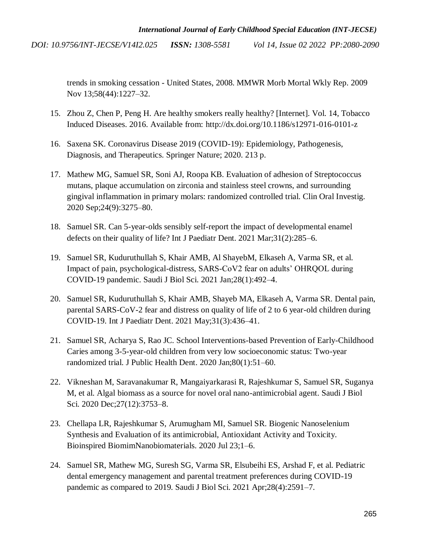> trends in smoking cessation - United States, 2008. MMWR Morb Mortal Wkly Rep. 2009 Nov 13;58(44):1227–32.

- 15. [Zhou Z, Chen P, Peng H. Are healthy smokers really healthy? \[Internet\]. Vol. 14, Tobacco](http://paperpile.com/b/5x2b9I/Lh7U)  [Induced Diseases. 2016. Available from: http://dx.doi.org/10.1186/s12971-016-0101-z](http://paperpile.com/b/5x2b9I/Lh7U)
- 16. [Saxena SK. Coronavirus Disease 2019 \(COVID-19\): Epidemiology, Pathogenesis,](http://paperpile.com/b/5x2b9I/IdYD)  [Diagnosis, and Therapeutics. Springer Nature; 2020. 213 p.](http://paperpile.com/b/5x2b9I/IdYD)
- 17. [Mathew MG, Samuel SR, Soni AJ, Roopa KB. Evaluation of adhesion of Streptococcus](http://paperpile.com/b/5x2b9I/vCPA1)  [mutans, plaque accumulation on zirconia and stainless steel crowns, and surrounding](http://paperpile.com/b/5x2b9I/vCPA1) [gingival inflammation in primary molars: randomized controlled trial. Clin Oral Investig.](http://paperpile.com/b/5x2b9I/vCPA1)  [2020 Sep;24\(9\):3275–80.](http://paperpile.com/b/5x2b9I/vCPA1)
- 18. [Samuel SR. Can 5-year-olds sensibly self-report the impact of developmental enamel](http://paperpile.com/b/5x2b9I/tRlIW)  [defects on their quality of life? Int J Paediatr Dent. 2021 Mar;31\(2\):285–6.](http://paperpile.com/b/5x2b9I/tRlIW)
- 19. [Samuel SR, Kuduruthullah S, Khair AMB, Al ShayebM, Elkaseh A, Varma SR, et al.](http://paperpile.com/b/5x2b9I/eYxjR)  [Impact of pain, psychological-distress, SARS-CoV2 fear on adults' OHRQOL during](http://paperpile.com/b/5x2b9I/eYxjR)  [COVID-19 pandemic. Saudi J Biol Sci. 2021 Jan;28\(1\):492–4.](http://paperpile.com/b/5x2b9I/eYxjR)
- 20. [Samuel SR, Kuduruthullah S, Khair AMB, Shayeb MA, Elkaseh A, Varma SR. Dental pain,](http://paperpile.com/b/5x2b9I/TUXSs)  [parental SARS-CoV-2 fear and distress on quality of life of 2 to 6 year-old children during](http://paperpile.com/b/5x2b9I/TUXSs)  [COVID-19. Int J Paediatr Dent. 2021 May;31\(3\):436–41.](http://paperpile.com/b/5x2b9I/TUXSs)
- 21. [Samuel SR, Acharya S, Rao JC. School Interventions-based Prevention of Early-Childhood](http://paperpile.com/b/5x2b9I/EDKa7)  [Caries among 3-5-year-old children from very low socioeconomic status: Two-year](http://paperpile.com/b/5x2b9I/EDKa7)  [randomized trial. J Public Health Dent. 2020 Jan;80\(1\):51–60.](http://paperpile.com/b/5x2b9I/EDKa7)
- 22. [Vikneshan M, Saravanakumar R, Mangaiyarkarasi R, Rajeshkumar S, Samuel SR, Suganya](http://paperpile.com/b/5x2b9I/5kLCp)  [M, et al. Algal biomass as a source for novel oral nano-antimicrobial agent. Saudi J Biol](http://paperpile.com/b/5x2b9I/5kLCp)  [Sci. 2020 Dec;27\(12\):3753–8.](http://paperpile.com/b/5x2b9I/5kLCp)
- 23. [Chellapa LR, Rajeshkumar S, Arumugham MI, Samuel SR. Biogenic Nanoselenium](http://paperpile.com/b/5x2b9I/qvZlR)  [Synthesis and Evaluation of its antimicrobial, Antioxidant Activity and Toxicity.](http://paperpile.com/b/5x2b9I/qvZlR)  [Bioinspired BiomimNanobiomaterials. 2020 Jul 23;1–6.](http://paperpile.com/b/5x2b9I/qvZlR)
- 24. [Samuel SR, Mathew MG, Suresh SG, Varma SR, Elsubeihi ES, Arshad F, et al. Pediatric](http://paperpile.com/b/5x2b9I/yIgbq)  [dental emergency management and parental treatment preferences during COVID-19](http://paperpile.com/b/5x2b9I/yIgbq)  [pandemic as compared to 2019. Saudi J Biol Sci. 2021 Apr;28\(4\):2591–7.](http://paperpile.com/b/5x2b9I/yIgbq)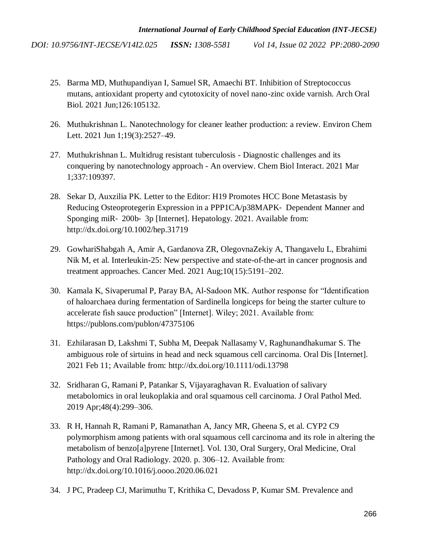- 25. [Barma MD, Muthupandiyan I, Samuel SR, Amaechi BT. Inhibition of Streptococcus](http://paperpile.com/b/5x2b9I/9jUHd)  [mutans, antioxidant property and cytotoxicity of novel nano-zinc oxide varnish. Arch Oral](http://paperpile.com/b/5x2b9I/9jUHd)  [Biol. 2021 Jun;126:105132.](http://paperpile.com/b/5x2b9I/9jUHd)
- 26. [Muthukrishnan L. Nanotechnology for cleaner leather production: a review. Environ Chem](http://paperpile.com/b/5x2b9I/Et0JF)  [Lett. 2021 Jun 1;19\(3\):2527–49.](http://paperpile.com/b/5x2b9I/Et0JF)
- 27. [Muthukrishnan L. Multidrug resistant tuberculosis -](http://paperpile.com/b/5x2b9I/iKpC5) Diagnostic challenges and its conquering by nanotechnology approach - [An overview. Chem Biol Interact. 2021 Mar](http://paperpile.com/b/5x2b9I/iKpC5)  [1;337:109397.](http://paperpile.com/b/5x2b9I/iKpC5)
- 28. [Sekar D, Auxzilia PK. Letter to the Editor: H19 Promotes HCC Bone Metastasis by](http://paperpile.com/b/5x2b9I/4u1K7)  [Reducing Osteoprotegerin Expression in a PPP1CA/p38MAPK](http://paperpile.com/b/5x2b9I/4u1K7)‐ Dependent Manner and Sponging miR‐ 200b‐ [3p \[Internet\]. Hepatology. 2021. Available from:](http://paperpile.com/b/5x2b9I/4u1K7)  [http://dx.doi.org/10.1002/hep.31719](http://paperpile.com/b/5x2b9I/4u1K7)
- 29. [GowhariShabgah A, Amir A, Gardanova ZR, OlegovnaZekiy A, Thangavelu L, Ebrahimi](http://paperpile.com/b/5x2b9I/fK2bt)  [Nik M, et al. Interleukin-25: New perspective and state-of-the-art in cancer prognosis and](http://paperpile.com/b/5x2b9I/fK2bt)  [treatment approaches. Cancer Med. 2021 Aug;10\(15\):5191–202.](http://paperpile.com/b/5x2b9I/fK2bt)
- 30. Kamala K, Sivaperumal P, Paray BA, Al-Sadoon MK. Author response for "Identification [of haloarchaea during fermentation of Sardinella longiceps for being the starter culture to](http://paperpile.com/b/5x2b9I/R6xKW)  accelerate fish sauce production" [Internet]. Wiley; 2021. Available from: [https://publons.com/publon/47375106](http://paperpile.com/b/5x2b9I/R6xKW)
- 31. [Ezhilarasan D, Lakshmi T, Subha M, Deepak Nallasamy V, Raghunandhakumar S. The](http://paperpile.com/b/5x2b9I/U5QdN)  [ambiguous role of sirtuins in head and neck squamous cell carcinoma. Oral Dis \[Internet\].](http://paperpile.com/b/5x2b9I/U5QdN)  [2021 Feb 11; Available from: http://dx.doi.org/10.1111/odi.13798](http://paperpile.com/b/5x2b9I/U5QdN)
- 32. [Sridharan G, Ramani P, Patankar S, Vijayaraghavan R. Evaluation of salivary](http://paperpile.com/b/5x2b9I/Xi7JJ)  [metabolomics in oral leukoplakia and oral squamous cell carcinoma. J Oral Pathol Med.](http://paperpile.com/b/5x2b9I/Xi7JJ)  [2019 Apr;48\(4\):299–306.](http://paperpile.com/b/5x2b9I/Xi7JJ)
- 33. [R H, Hannah R, Ramani P, Ramanathan A, Jancy MR, Gheena S, et al. CYP2 C9](http://paperpile.com/b/5x2b9I/WfgXt)  [polymorphism among patients with oral squamous cell carcinoma and its role in altering the](http://paperpile.com/b/5x2b9I/WfgXt)  [metabolism of benzo\[a\]pyrene \[Internet\]. Vol. 130, Oral Surgery, Oral Medicine, Oral](http://paperpile.com/b/5x2b9I/WfgXt)  [Pathology and Oral Radiology. 2020. p. 306–12. Available from:](http://paperpile.com/b/5x2b9I/WfgXt)  [http://dx.doi.org/10.1016/j.oooo.2020.06.021](http://paperpile.com/b/5x2b9I/WfgXt)
- 34. [J PC, Pradeep CJ, Marimuthu T, Krithika C, Devadoss P, Kumar SM. Prevalence and](http://paperpile.com/b/5x2b9I/OIDQo)